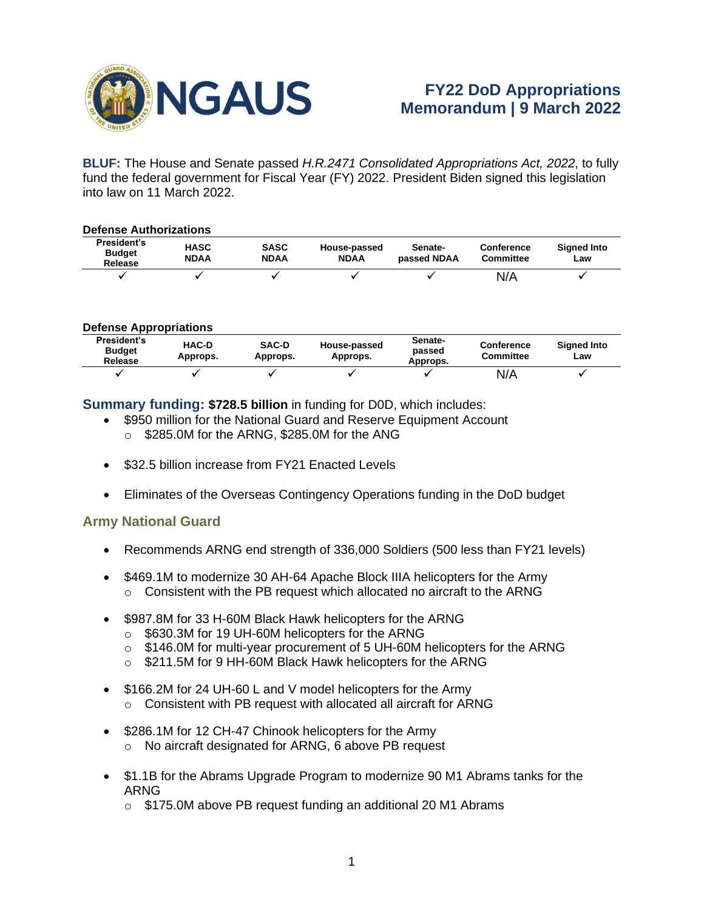

**BLUF:** The House and Senate passed *H.R.2471 Consolidated Appropriations Act, 2022*, to fully fund the federal government for Fiscal Year (FY) 2022. President Biden signed this legislation into law on 11 March 2022.

| <b>Defense Authorizations</b>           |                     |                            |                             |                        |                                       |                           |  |  |  |  |
|-----------------------------------------|---------------------|----------------------------|-----------------------------|------------------------|---------------------------------------|---------------------------|--|--|--|--|
| President's<br><b>Budget</b><br>Release | <b>HASC</b><br>NDAA | <b>SASC</b><br><b>NDAA</b> | House-passed<br><b>NDAA</b> | Senate-<br>passed NDAA | <b>Conference</b><br><b>Committee</b> | <b>Signed Into</b><br>Law |  |  |  |  |
|                                         |                     |                            |                             |                        | N/A                                   |                           |  |  |  |  |

#### **Defense Appropriations**

| President's<br><b>Budget</b><br>Release | <b>HAC-D</b><br>Approps. | <b>SAC-D</b><br>Approps. | House-passed<br>Approps. | Senate-<br>passed<br>Approps. | <b>Conference</b><br><b>Committee</b> | <b>Signed Into</b><br>Law |
|-----------------------------------------|--------------------------|--------------------------|--------------------------|-------------------------------|---------------------------------------|---------------------------|
|                                         |                          |                          |                          |                               | N/A                                   |                           |

**Summary funding: \$728.5 billion** in funding for D0D, which includes:

- \$950 million for the National Guard and Reserve Equipment Account o \$285.0M for the ARNG, \$285.0M for the ANG
	-
- \$32.5 billion increase from FY21 Fnacted Levels
- Eliminates of the Overseas Contingency Operations funding in the DoD budget

#### **Army National Guard**

- Recommends ARNG end strength of 336,000 Soldiers (500 less than FY21 levels)
- \$469.1M to modernize 30 AH-64 Apache Block IIIA helicopters for the Army  $\circ$  Consistent with the PB request which allocated no aircraft to the ARNG
- \$987.8M for 33 H-60M Black Hawk helicopters for the ARNG
	- o \$630.3M for 19 UH-60M helicopters for the ARNG
	- o \$146.0M for multi-year procurement of 5 UH-60M helicopters for the ARNG
	- o \$211.5M for 9 HH-60M Black Hawk helicopters for the ARNG
- \$166.2M for 24 UH-60 L and V model helicopters for the Army o Consistent with PB request with allocated all aircraft for ARNG
- \$286.1M for 12 CH-47 Chinook helicopters for the Army o No aircraft designated for ARNG, 6 above PB request
- \$1.1B for the Abrams Upgrade Program to modernize 90 M1 Abrams tanks for the ARNG
	- o \$175.0M above PB request funding an additional 20 M1 Abrams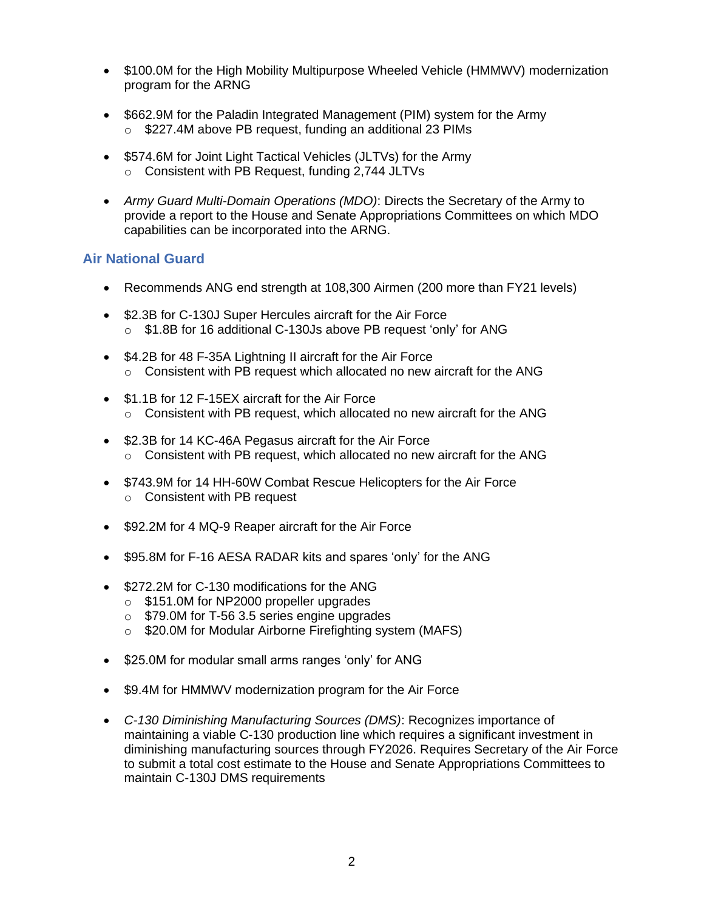- \$100.0M for the High Mobility Multipurpose Wheeled Vehicle (HMMWV) modernization program for the ARNG
- \$662.9M for the Paladin Integrated Management (PIM) system for the Army o \$227.4M above PB request, funding an additional 23 PIMs
- \$574.6M for Joint Light Tactical Vehicles (JLTVs) for the Army o Consistent with PB Request, funding 2,744 JLTVs
- *Army Guard Multi-Domain Operations (MDO)*: Directs the Secretary of the Army to provide a report to the House and Senate Appropriations Committees on which MDO capabilities can be incorporated into the ARNG.

## **Air National Guard**

- Recommends ANG end strength at 108,300 Airmen (200 more than FY21 levels)
- \$2.3B for C-130J Super Hercules aircraft for the Air Force o \$1.8B for 16 additional C-130Js above PB request 'only' for ANG
- \$4.2B for 48 F-35A Lightning II aircraft for the Air Force o Consistent with PB request which allocated no new aircraft for the ANG
- \$1.1B for 12 F-15EX aircraft for the Air Force o Consistent with PB request, which allocated no new aircraft for the ANG
- \$2.3B for 14 KC-46A Pegasus aircraft for the Air Force o Consistent with PB request, which allocated no new aircraft for the ANG
- \$743.9M for 14 HH-60W Combat Rescue Helicopters for the Air Force o Consistent with PB request
- \$92.2M for 4 MQ-9 Reaper aircraft for the Air Force
- \$95.8M for F-16 AESA RADAR kits and spares 'only' for the ANG
- \$272.2M for C-130 modifications for the ANG
	- o \$151.0M for NP2000 propeller upgrades
	- o \$79.0M for T-56 3.5 series engine upgrades
	- o \$20.0M for Modular Airborne Firefighting system (MAFS)
- \$25.0M for modular small arms ranges 'only' for ANG
- \$9.4M for HMMWV modernization program for the Air Force
- *C-130 Diminishing Manufacturing Sources (DMS)*: Recognizes importance of maintaining a viable C-130 production line which requires a significant investment in diminishing manufacturing sources through FY2026. Requires Secretary of the Air Force to submit a total cost estimate to the House and Senate Appropriations Committees to maintain C-130J DMS requirements